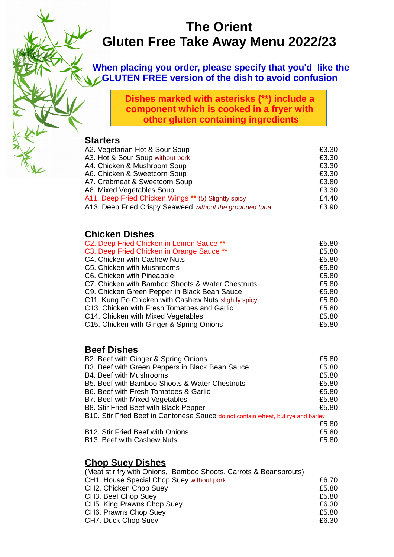# **The Orient Gluten Free Take Away Menu 2022/23**

**When placing you order, please specify that you'd like the GLUTEN FREE version of the dish to avoid confusion** 

> **Dishes marked with asterisks (\*\*) include a component which is cooked in a fryer with other gluten containing ingredients**

#### **Starters**

| A2. Vegetarian Hot & Sour Soup                           | £3.30 |
|----------------------------------------------------------|-------|
| A3. Hot & Sour Soup without pork                         | £3.30 |
| A4. Chicken & Mushroom Soup                              | £3.30 |
| A6. Chicken & Sweetcorn Soup                             | £3.30 |
| A7. Crabmeat & Sweetcorn Soup                            | £3.80 |
| A8. Mixed Vegetables Soup                                | £3.30 |
| A11. Deep Fried Chicken Wings ** (5) Slightly spicy      | £4.40 |
| A13. Deep Fried Crispy Seaweed without the grounded tuna | £3.90 |
|                                                          |       |

## **Chicken Dishes**

| C2. Deep Fried Chicken in Lemon Sauce **             | £5.80 |
|------------------------------------------------------|-------|
| C3. Deep Fried Chicken in Orange Sauce **            | £5.80 |
| C4. Chicken with Cashew Nuts                         | £5.80 |
| C5. Chicken with Mushrooms                           | £5.80 |
| C6. Chicken with Pineapple                           | £5.80 |
| C7. Chicken with Bamboo Shoots & Water Chestnuts     | £5.80 |
| C9. Chicken Green Pepper in Black Bean Sauce         | £5.80 |
| C11. Kung Po Chicken with Cashew Nuts slightly spicy | £5.80 |
| C13. Chicken with Fresh Tomatoes and Garlic          | £5.80 |
| C14. Chicken with Mixed Vegetables                   | £5.80 |
| C15. Chicken with Ginger & Spring Onions             | £5.80 |
|                                                      |       |

#### **Beef Dishes**

| B2. Beef with Ginger & Spring Onions                                             | £5.80 |
|----------------------------------------------------------------------------------|-------|
| B3. Beef with Green Peppers in Black Bean Sauce                                  | £5.80 |
| B4. Beef with Mushrooms                                                          | £5.80 |
| B5. Beef with Bamboo Shoots & Water Chestnuts                                    | £5.80 |
| B6. Beef with Fresh Tomatoes & Garlic                                            | £5.80 |
| B7. Beef with Mixed Vegetables                                                   | £5.80 |
| B8. Stir Fried Beef with Black Pepper                                            | £5.80 |
| B10. Stir Fried Beef in Cantonese Sauce do not contain wheat, but rye and barley |       |
|                                                                                  | £5.80 |
| B12. Stir Fried Beef with Onions                                                 | £5.80 |
|                                                                                  |       |

B13. Beef with Cashew Nuts **E5.80** 

## **Chop Suey Dishes**

| (Meat stir fry with Onions, Bamboo Shoots, Carrots & Beansprouts) |       |
|-------------------------------------------------------------------|-------|
| CH1. House Special Chop Suey without pork                         | £6.70 |
| CH2. Chicken Chop Suey                                            | £5.80 |
| CH3. Beef Chop Suey                                               | £5.80 |
| CH5. King Prawns Chop Suey                                        | £6.30 |
| CH6. Prawns Chop Suey                                             | £5.80 |
| CH7. Duck Chop Suey                                               | £6.30 |
|                                                                   |       |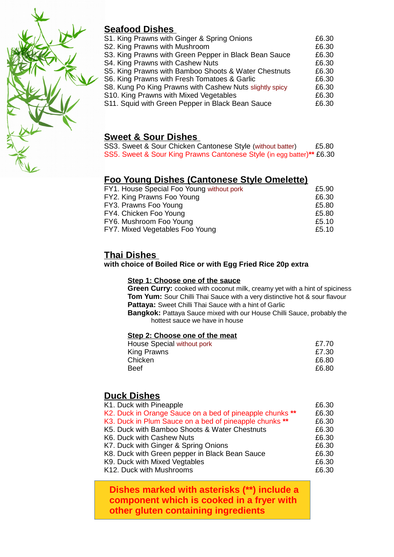

# **Seafood Dishes**

| S1. King Prawns with Ginger & Spring Onions             | £6.30 |
|---------------------------------------------------------|-------|
| S2. King Prawns with Mushroom                           | £6.30 |
| S3. King Prawns with Green Pepper in Black Bean Sauce   | £6.30 |
| S4. King Prawns with Cashew Nuts                        | £6.30 |
| S5. King Prawns with Bamboo Shoots & Water Chestnuts    | £6.30 |
| S6. King Prawns with Fresh Tomatoes & Garlic            | £6.30 |
| S8. Kung Po King Prawns with Cashew Nuts slightly spicy | £6.30 |
| S10. King Prawns with Mixed Vegetables                  | £6.30 |
| S11. Squid with Green Pepper in Black Bean Sauce        | £6.30 |
|                                                         |       |

### **Sweet & Sour Dishes**

|  |  | SS3. Sweet & Sour Chicken Cantonese Style (without batter) |                                                                       | £5.80 |
|--|--|------------------------------------------------------------|-----------------------------------------------------------------------|-------|
|  |  |                                                            | SS5. Sweet & Sour King Prawns Cantonese Style (in egg batter)** £6.30 |       |

#### **Foo Young Dishes (Cantonese Style Omelette)**

| FY1. House Special Foo Young without pork | £5.90 |
|-------------------------------------------|-------|
| FY2. King Prawns Foo Young                | £6.30 |
| FY3. Prawns Foo Young                     | £5.80 |
| FY4. Chicken Foo Young                    | £5.80 |
| FY6. Mushroom Foo Young                   | £5.10 |
| FY7. Mixed Vegetables Foo Young           | £5.10 |
|                                           |       |

#### **Thai Dishes**

**with choice of Boiled Rice or with Egg Fried Rice 20p extra**

#### **Step 1: Choose one of the sauce**

**Green Curry:** cooked with coconut milk, creamy yet with a hint of spiciness **Tom Yum:** Sour Chilli Thai Sauce with a very distinctive hot & sour flavour **Pattaya:** Sweet Chilli Thai Sauce with a hint of Garlic

**Bangkok:** Pattaya Sauce mixed with our House Chilli Sauce, probably the hottest sauce we have in house

#### **Step 2: Choose one of the meat**

| House Special without pork | £7.70 |
|----------------------------|-------|
| King Prawns                | £7.30 |
| Chicken                    | £6.80 |
| <b>Beef</b>                | £6.80 |
|                            |       |

#### **Duck Dishes**

| K1. Duck with Pineapple                                  | £6.30 |
|----------------------------------------------------------|-------|
| K2. Duck in Orange Sauce on a bed of pineapple chunks ** | £6.30 |
| K3. Duck in Plum Sauce on a bed of pineapple chunks **   | £6.30 |
| K5. Duck with Bamboo Shoots & Water Chestnuts            | £6.30 |
| K6. Duck with Cashew Nuts                                | £6.30 |
| K7. Duck with Ginger & Spring Onions                     | £6.30 |
| K8. Duck with Green pepper in Black Bean Sauce           | £6.30 |
| K9. Duck with Mixed Vegtables                            | £6.30 |
| K12. Duck with Mushrooms                                 | £6.30 |
|                                                          |       |

 **Dishes marked with asterisks (\*\*) include a component which is cooked in a fryer with other gluten containing ingredients**